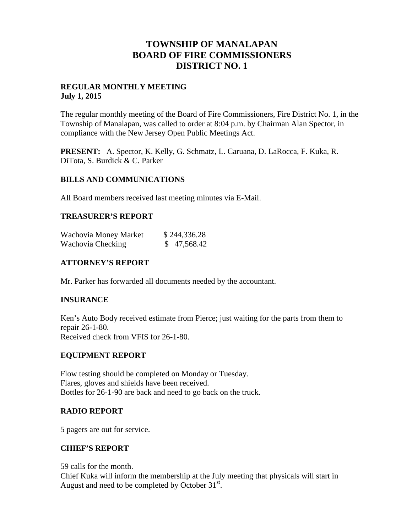# **TOWNSHIP OF MANALAPAN BOARD OF FIRE COMMISSIONERS DISTRICT NO. 1**

# **REGULAR MONTHLY MEETING July 1, 2015**

The regular monthly meeting of the Board of Fire Commissioners, Fire District No. 1, in the Township of Manalapan, was called to order at 8:04 p.m. by Chairman Alan Spector, in compliance with the New Jersey Open Public Meetings Act.

**PRESENT:** A. Spector, K. Kelly, G. Schmatz, L. Caruana, D. LaRocca, F. Kuka, R. DiTota, S. Burdick & C. Parker

## **BILLS AND COMMUNICATIONS**

All Board members received last meeting minutes via E-Mail.

#### **TREASURER'S REPORT**

| Wachovia Money Market | \$244,336.28 |
|-----------------------|--------------|
| Wachovia Checking     | \$47,568.42  |

## **ATTORNEY'S REPORT**

Mr. Parker has forwarded all documents needed by the accountant.

## **INSURANCE**

Ken's Auto Body received estimate from Pierce; just waiting for the parts from them to repair 26-1-80. Received check from VFIS for 26-1-80.

#### **EQUIPMENT REPORT**

Flow testing should be completed on Monday or Tuesday. Flares, gloves and shields have been received. Bottles for 26-1-90 are back and need to go back on the truck.

#### **RADIO REPORT**

5 pagers are out for service.

#### **CHIEF'S REPORT**

59 calls for the month.

Chief Kuka will inform the membership at the July meeting that physicals will start in August and need to be completed by October  $31<sup>st</sup>$ .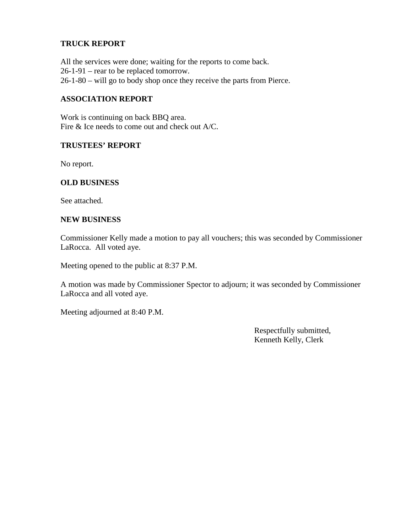# **TRUCK REPORT**

All the services were done; waiting for the reports to come back. 26-1-91 – rear to be replaced tomorrow. 26-1-80 – will go to body shop once they receive the parts from Pierce.

# **ASSOCIATION REPORT**

Work is continuing on back BBQ area. Fire & Ice needs to come out and check out A/C.

#### **TRUSTEES' REPORT**

No report.

## **OLD BUSINESS**

See attached.

#### **NEW BUSINESS**

Commissioner Kelly made a motion to pay all vouchers; this was seconded by Commissioner LaRocca. All voted aye.

Meeting opened to the public at 8:37 P.M.

A motion was made by Commissioner Spector to adjourn; it was seconded by Commissioner LaRocca and all voted aye.

Meeting adjourned at 8:40 P.M.

Respectfully submitted, Kenneth Kelly, Clerk